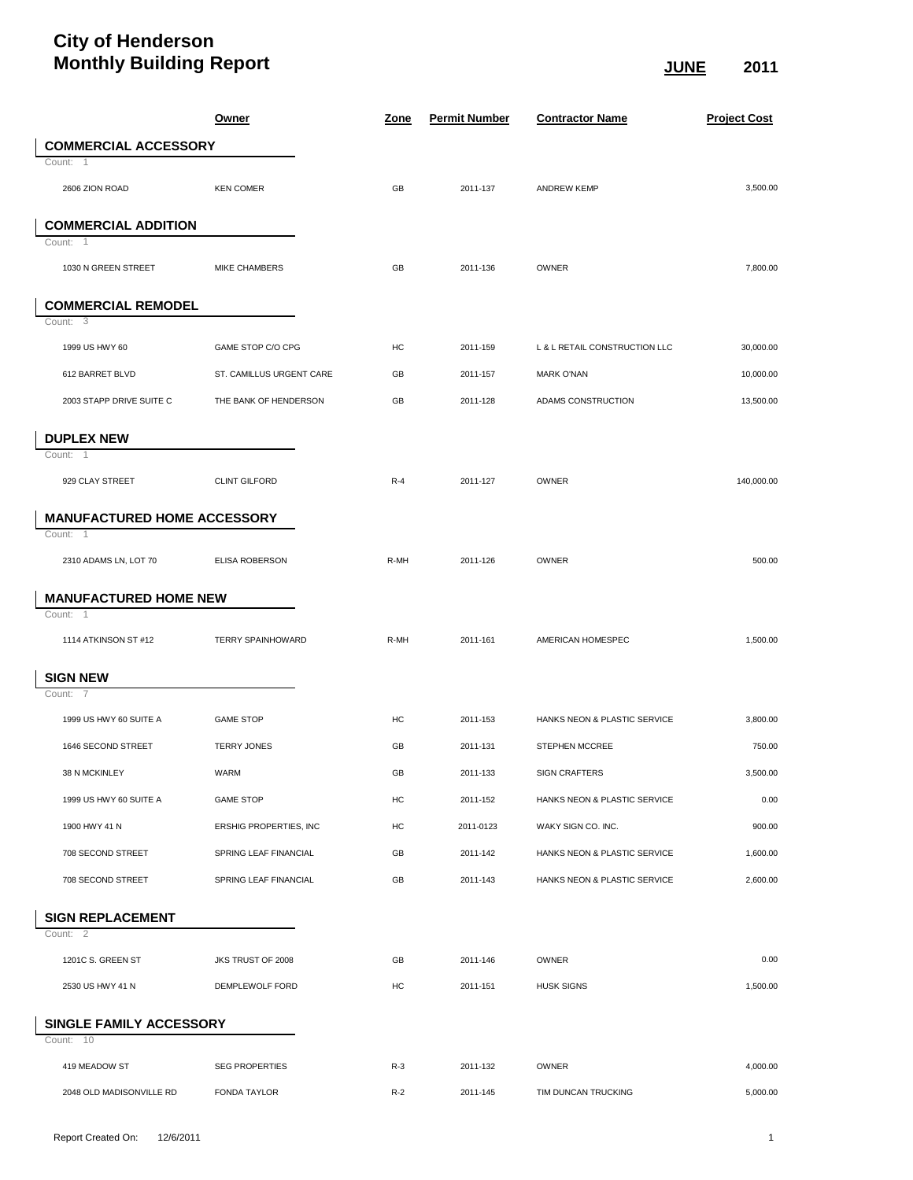## **City of Henderson Monthly Building Report JUNE 2011**

|                                     |                                    | <b>Owner</b>             | <u>Zone</u> | <b>Permit Number</b> | <b>Contractor Name</b>        | <b>Project Cost</b> |
|-------------------------------------|------------------------------------|--------------------------|-------------|----------------------|-------------------------------|---------------------|
|                                     | <b>COMMERCIAL ACCESSORY</b>        |                          |             |                      |                               |                     |
| Count: 1                            |                                    |                          |             |                      |                               |                     |
| 2606 ZION ROAD                      |                                    | <b>KEN COMER</b>         | GB          | 2011-137             | <b>ANDREW KEMP</b>            | 3,500.00            |
|                                     | <b>COMMERCIAL ADDITION</b>         |                          |             |                      |                               |                     |
| Count: 1                            |                                    |                          |             |                      |                               |                     |
| 1030 N GREEN STREET                 |                                    | MIKE CHAMBERS            | GB          | 2011-136             | OWNER                         | 7,800.00            |
|                                     |                                    |                          |             |                      |                               |                     |
| Count: 3                            | <b>COMMERCIAL REMODEL</b>          |                          |             |                      |                               |                     |
|                                     |                                    |                          |             |                      |                               |                     |
| 1999 US HWY 60                      |                                    | GAME STOP C/O CPG        | HC          | 2011-159             | L & L RETAIL CONSTRUCTION LLC | 30,000.00           |
| 612 BARRET BLVD                     |                                    | ST. CAMILLUS URGENT CARE | GB          | 2011-157             | <b>MARK O'NAN</b>             | 10,000.00           |
|                                     | 2003 STAPP DRIVE SUITE C           | THE BANK OF HENDERSON    | GB          | 2011-128             | ADAMS CONSTRUCTION            | 13,500.00           |
| <b>DUPLEX NEW</b>                   |                                    |                          |             |                      |                               |                     |
| Count: 1                            |                                    |                          |             |                      |                               |                     |
| 929 CLAY STREET                     |                                    | <b>CLINT GILFORD</b>     | $R-4$       | 2011-127             | OWNER                         | 140,000.00          |
|                                     |                                    |                          |             |                      |                               |                     |
| Count:<br>-1                        | <b>MANUFACTURED HOME ACCESSORY</b> |                          |             |                      |                               |                     |
| 2310 ADAMS LN, LOT 70               |                                    | ELISA ROBERSON           | R-MH        | 2011-126             | <b>OWNER</b>                  | 500.00              |
|                                     |                                    |                          |             |                      |                               |                     |
|                                     | <b>MANUFACTURED HOME NEW</b>       |                          |             |                      |                               |                     |
| Count: 1                            |                                    |                          |             |                      |                               |                     |
| 1114 ATKINSON ST #12                |                                    | <b>TERRY SPAINHOWARD</b> | R-MH        | 2011-161             | AMERICAN HOMESPEC             | 1,500.00            |
| <b>SIGN NEW</b>                     |                                    |                          |             |                      |                               |                     |
| Count: 7                            |                                    |                          |             |                      |                               |                     |
| 1999 US HWY 60 SUITE A              |                                    | <b>GAME STOP</b>         | HC          | 2011-153             | HANKS NEON & PLASTIC SERVICE  | 3,800.00            |
| 1646 SECOND STREET                  |                                    | <b>TERRY JONES</b>       | GB          | 2011-131             | STEPHEN MCCREE                | 750.00              |
| 38 N MCKINLEY                       |                                    | WARM                     | GB          | 2011-133             | <b>SIGN CRAFTERS</b>          | 3,500.00            |
| 1999 US HWY 60 SUITE A              |                                    | <b>GAME STOP</b>         | HC          | 2011-152             | HANKS NEON & PLASTIC SERVICE  | 0.00                |
| 1900 HWY 41 N                       |                                    | ERSHIG PROPERTIES, INC   | HC          | 2011-0123            | WAKY SIGN CO. INC.            | 900.00              |
| 708 SECOND STREET                   |                                    | SPRING LEAF FINANCIAL    | GB          | 2011-142             | HANKS NEON & PLASTIC SERVICE  | 1,600.00            |
| 708 SECOND STREET                   |                                    | SPRING LEAF FINANCIAL    | GB          | 2011-143             | HANKS NEON & PLASTIC SERVICE  | 2,600.00            |
|                                     |                                    |                          |             |                      |                               |                     |
| <b>SIGN REPLACEMENT</b><br>Count: 2 |                                    |                          |             |                      |                               |                     |
| 1201C S. GREEN ST                   |                                    | JKS TRUST OF 2008        | GB          | 2011-146             | <b>OWNER</b>                  | 0.00                |
| 2530 US HWY 41 N                    |                                    | DEMPLEWOLF FORD          | HC          | 2011-151             | <b>HUSK SIGNS</b>             | 1,500.00            |
|                                     |                                    |                          |             |                      |                               |                     |
| Count: 10                           | SINGLE FAMILY ACCESSORY            |                          |             |                      |                               |                     |
| 419 MEADOW ST                       |                                    | <b>SEG PROPERTIES</b>    | $R-3$       | 2011-132             | OWNER                         | 4,000.00            |
|                                     | 2048 OLD MADISONVILLE RD           | <b>FONDA TAYLOR</b>      | $R-2$       | 2011-145             | TIM DUNCAN TRUCKING           | 5,000.00            |
|                                     |                                    |                          |             |                      |                               |                     |